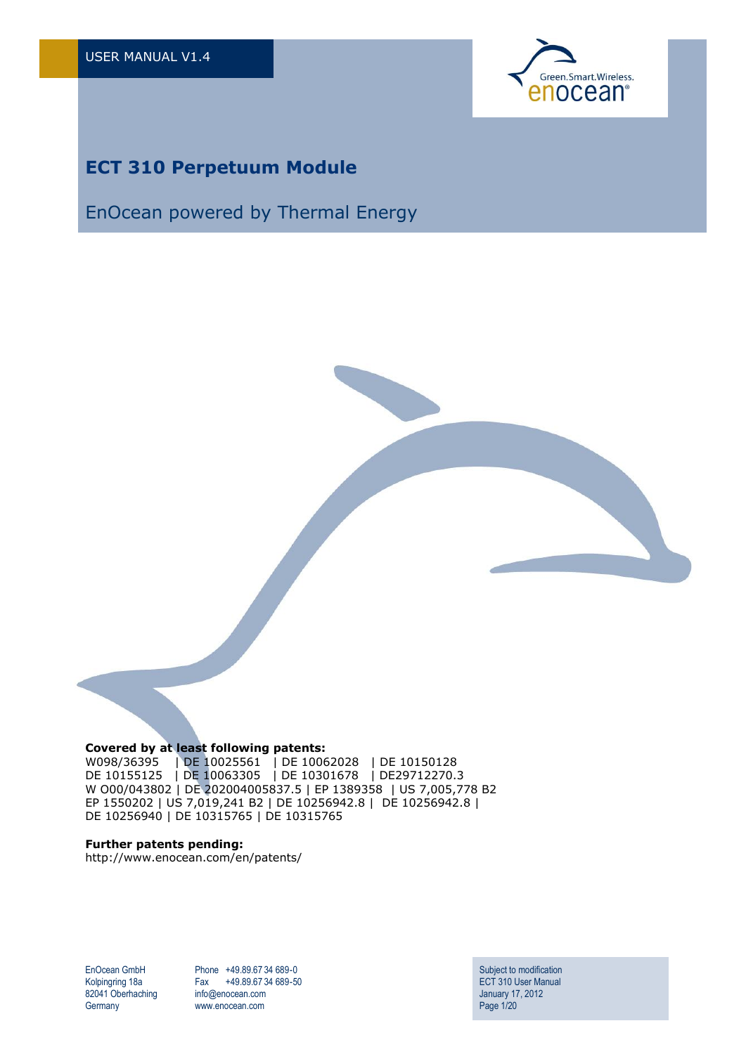

# **ECT 310 Perpetuum Module**

# EnOcean powered by Thermal Energy



W098/36395 | DE 10025561 | DE 10062028 | DE 10150128 DE 10155125 | DE 10063305 | DE 10301678 | DE29712270.3 W O00/043802 | DE 202004005837.5 | EP 1389358 | US 7,005,778 B2 EP 1550202 | US 7,019,241 B2 | DE 10256942.8 | DE 10256942.8 | DE 10256940 | DE 10315765 | DE 10315765

#### **Further patents pending:**

http://www.enocean.com/en/patents/

EnOcean GmbH Kolpingring 18a 82041 Oberhaching **Germany** 

Phone +49.89.67 34 689-0 Fax +49.89.67 34 689-50 info@enocean.com www.enocean.com

Subject to modification ECT 310 User Manual January 17, 2012 Page 1/20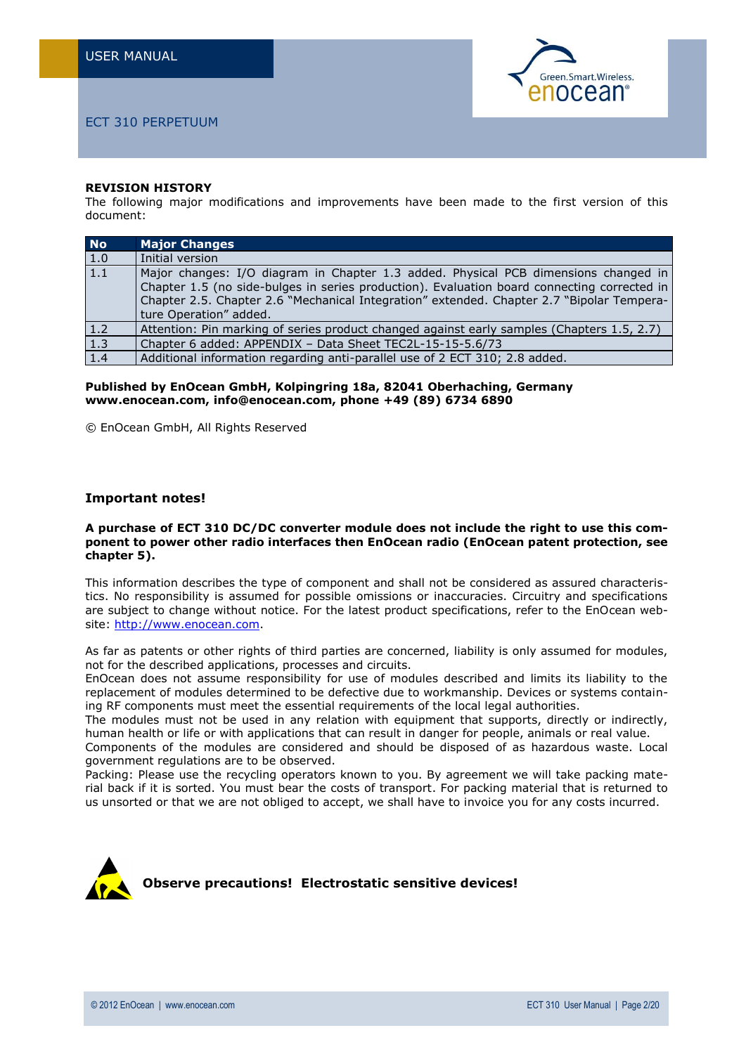

#### **REVISION HISTORY**

The following major modifications and improvements have been made to the first version of this document:

| No.              | <b>Major Changes</b>                                                                                                                                                                                                                                                                                      |
|------------------|-----------------------------------------------------------------------------------------------------------------------------------------------------------------------------------------------------------------------------------------------------------------------------------------------------------|
| 1.0              | Initial version                                                                                                                                                                                                                                                                                           |
| $\overline{1.1}$ | Major changes: I/O diagram in Chapter 1.3 added. Physical PCB dimensions changed in<br>Chapter 1.5 (no side-bulges in series production). Evaluation board connecting corrected in<br>Chapter 2.5. Chapter 2.6 "Mechanical Integration" extended. Chapter 2.7 "Bipolar Tempera-<br>ture Operation" added. |
| 1.2              | Attention: Pin marking of series product changed against early samples (Chapters 1.5, 2.7)                                                                                                                                                                                                                |
| $\overline{1.3}$ | Chapter 6 added: APPENDIX - Data Sheet TEC2L-15-15-5.6/73                                                                                                                                                                                                                                                 |
| 1.4              | Additional information regarding anti-parallel use of 2 ECT 310; 2.8 added.                                                                                                                                                                                                                               |

**Published by EnOcean GmbH, Kolpingring 18a, 82041 Oberhaching, Germany www.enocean.com, info@enocean.com, phone +49 (89) 6734 6890**

© EnOcean GmbH, All Rights Reserved

#### **Important notes!**

#### **A purchase of ECT 310 DC/DC converter module does not include the right to use this component to power other radio interfaces then EnOcean radio (EnOcean patent protection, see chapter 5).**

This information describes the type of component and shall not be considered as assured characteristics. No responsibility is assumed for possible omissions or inaccuracies. Circuitry and specifications are subject to change without notice. For the latest product specifications, refer to the EnOcean website: [http://www.enocean.com.](http://www.enocean.com/)

As far as patents or other rights of third parties are concerned, liability is only assumed for modules, not for the described applications, processes and circuits.

EnOcean does not assume responsibility for use of modules described and limits its liability to the replacement of modules determined to be defective due to workmanship. Devices or systems containing RF components must meet the essential requirements of the local legal authorities.

The modules must not be used in any relation with equipment that supports, directly or indirectly, human health or life or with applications that can result in danger for people, animals or real value.

Components of the modules are considered and should be disposed of as hazardous waste. Local government regulations are to be observed.

Packing: Please use the recycling operators known to you. By agreement we will take packing material back if it is sorted. You must bear the costs of transport. For packing material that is returned to us unsorted or that we are not obliged to accept, we shall have to invoice you for any costs incurred.

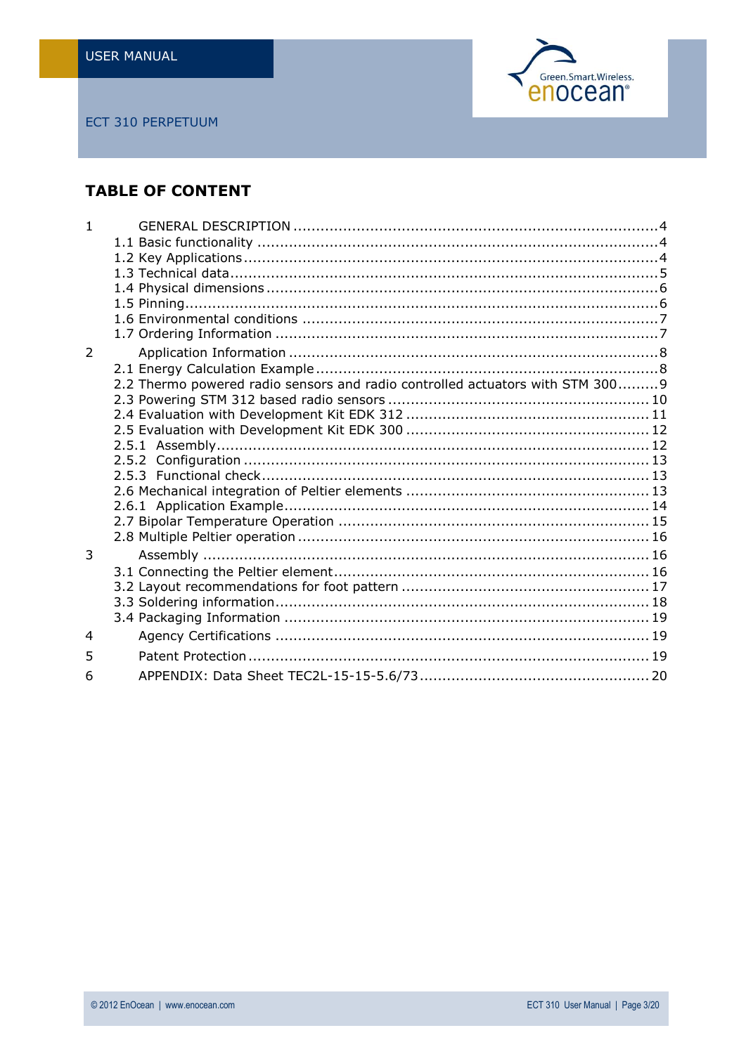

# **TABLE OF CONTENT**

| 2.2 Thermo powered radio sensors and radio controlled actuators with STM 300 9 |  |
|--------------------------------------------------------------------------------|--|
|                                                                                |  |
|                                                                                |  |
|                                                                                |  |
|                                                                                |  |
|                                                                                |  |
|                                                                                |  |
|                                                                                |  |
|                                                                                |  |
|                                                                                |  |
|                                                                                |  |
|                                                                                |  |
|                                                                                |  |
|                                                                                |  |
|                                                                                |  |
|                                                                                |  |
|                                                                                |  |
|                                                                                |  |
|                                                                                |  |
|                                                                                |  |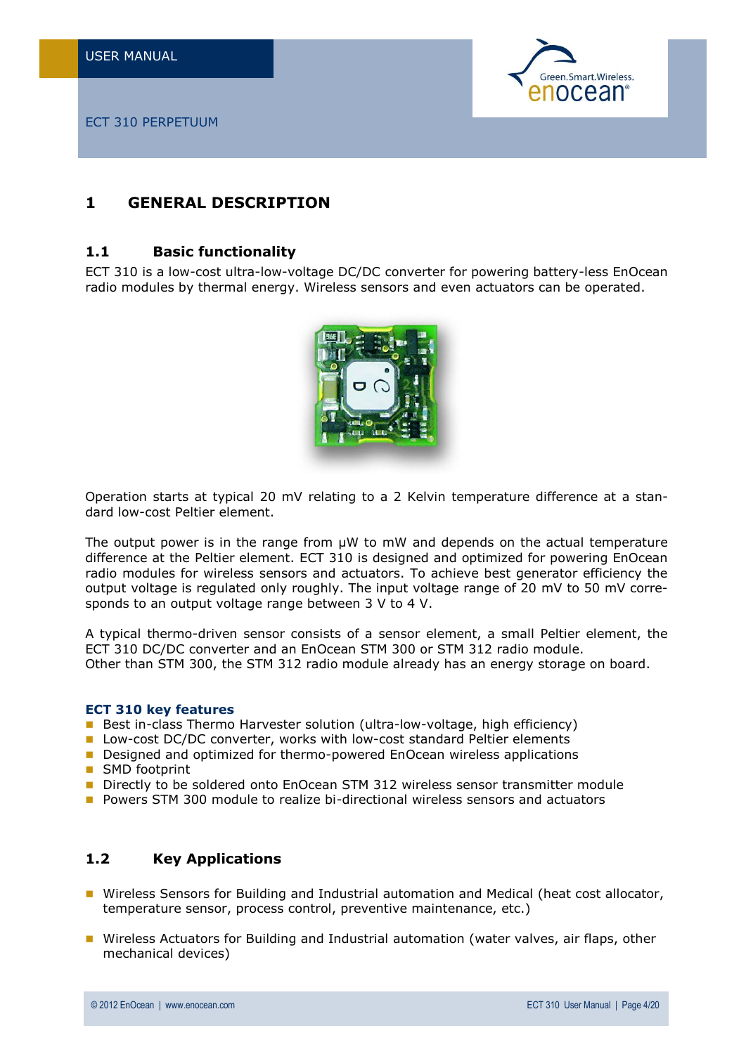

# <span id="page-3-0"></span>**1 GENERAL DESCRIPTION**

### <span id="page-3-1"></span>**1.1 Basic functionality**

ECT 310 is a low-cost ultra-low-voltage DC/DC converter for powering battery-less EnOcean radio modules by thermal energy. Wireless sensors and even actuators can be operated.



Operation starts at typical 20 mV relating to a 2 Kelvin temperature difference at a standard low-cost Peltier element.

The output power is in the range from  $\mu$ W to mW and depends on the actual temperature difference at the Peltier element. ECT 310 is designed and optimized for powering EnOcean radio modules for wireless sensors and actuators. To achieve best generator efficiency the output voltage is regulated only roughly. The input voltage range of 20 mV to 50 mV corresponds to an output voltage range between 3 V to 4 V.

A typical thermo-driven sensor consists of a sensor element, a small Peltier element, the ECT 310 DC/DC converter and an EnOcean STM 300 or STM 312 radio module. Other than STM 300, the STM 312 radio module already has an energy storage on board.

#### **ECT 310 key features**

- Best in-class Thermo Harvester solution (ultra-low-voltage, high efficiency)
- **Lacktrian Low-cost DC/DC converter, works with low-cost standard Peltier elements**
- **Designed and optimized for thermo-powered EnOcean wireless applications**
- SMD footprint
- Directly to be soldered onto EnOcean STM 312 wireless sensor transmitter module
- **P** Powers STM 300 module to realize bi-directional wireless sensors and actuators

## <span id="page-3-2"></span>**1.2 Key Applications**

- **Number 1** Wireless Sensors for Building and Industrial automation and Medical (heat cost allocator, temperature sensor, process control, preventive maintenance, etc.)
- **Number 2015** Actuators for Building and Industrial automation (water valves, air flaps, other mechanical devices)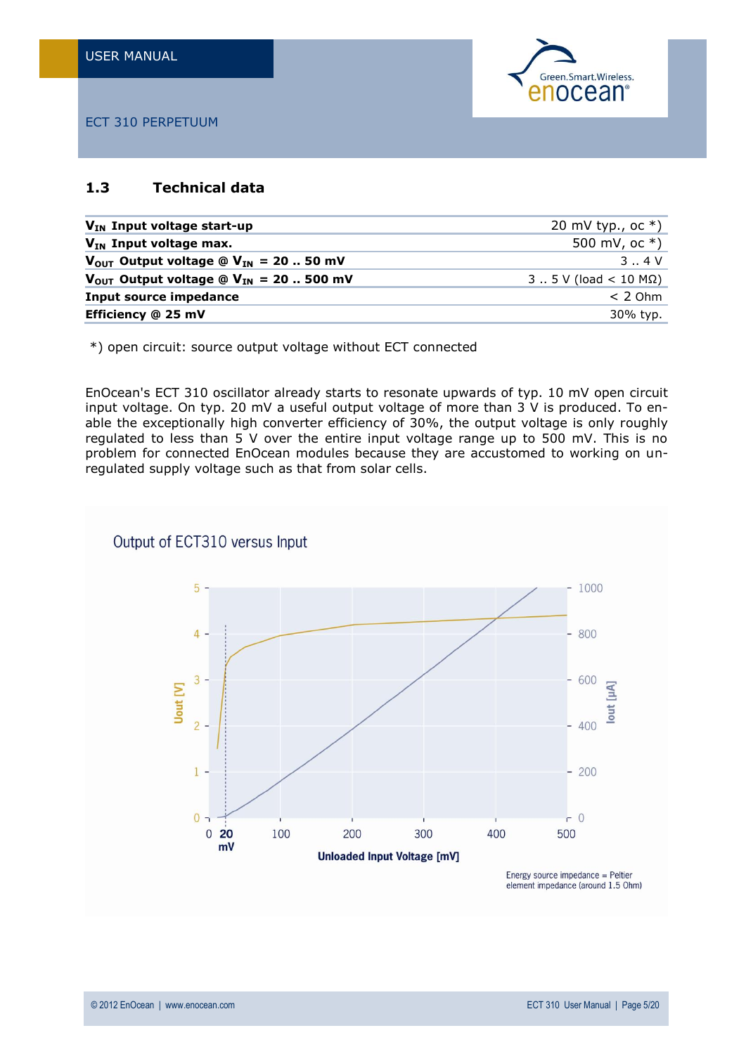

## <span id="page-4-0"></span>**1.3 Technical data**

| $V_{IN}$ Input voltage start-up                                | 20 mV typ., oc $*$ )        |
|----------------------------------------------------------------|-----------------------------|
| $V_{IN}$ Input voltage max.                                    | 500 mV, oc $*)$             |
| $V_{OUT}$ Output voltage @ $V_{IN}$ = 20  50 mV                | 3.04V                       |
| $V_{\text{OUT}}$ Output voltage @ $V_{\text{IN}}$ = 20  500 mV | $3 5 V (load < 10 M\Omega)$ |
| <b>Input source impedance</b>                                  | $< 2$ Ohm                   |
| Efficiency @ 25 mV                                             | 30% typ.                    |

\*) open circuit: source output voltage without ECT connected

EnOcean's ECT 310 oscillator already starts to resonate upwards of typ. 10 mV open circuit input voltage. On typ. 20 mV a useful output voltage of more than 3 V is produced. To enable the exceptionally high converter efficiency of 30%, the output voltage is only roughly regulated to less than 5 V over the entire input voltage range up to 500 mV. This is no problem for connected EnOcean modules because they are accustomed to working on unregulated supply voltage such as that from solar cells.

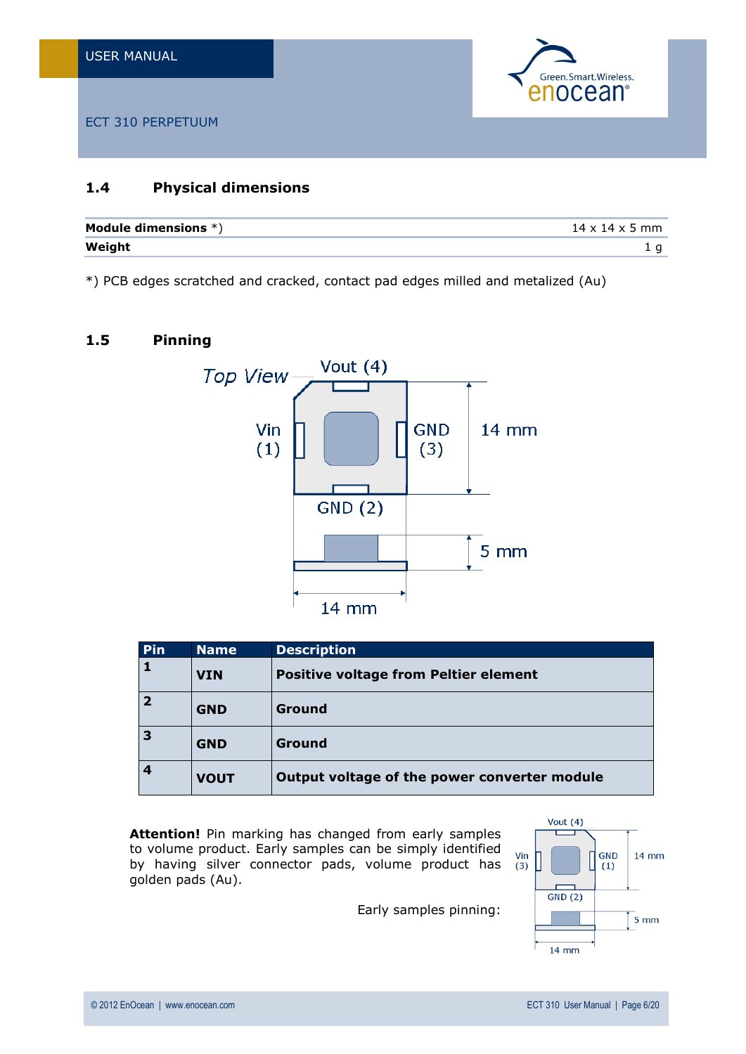

## <span id="page-5-0"></span>**1.4 Physical dimensions**

| Module dimensions $*)$ | $14 \times 14 \times 5$ mm |
|------------------------|----------------------------|
| Weight                 |                            |

\*) PCB edges scratched and cracked, contact pad edges milled and metalized (Au)

## <span id="page-5-1"></span>**1.5 Pinning**



| Pin            | <b>Name</b> | <b>Description</b>                           |
|----------------|-------------|----------------------------------------------|
|                | <b>VIN</b>  | <b>Positive voltage from Peltier element</b> |
| $\overline{2}$ | <b>GND</b>  | Ground                                       |
| 3              | <b>GND</b>  | Ground                                       |
| 4              | <b>VOUT</b> | Output voltage of the power converter module |

**Attention!** Pin marking has changed from early samples to volume product. Early samples can be simply identified by having silver connector pads, volume product has golden pads (Au).

Early samples pinning:

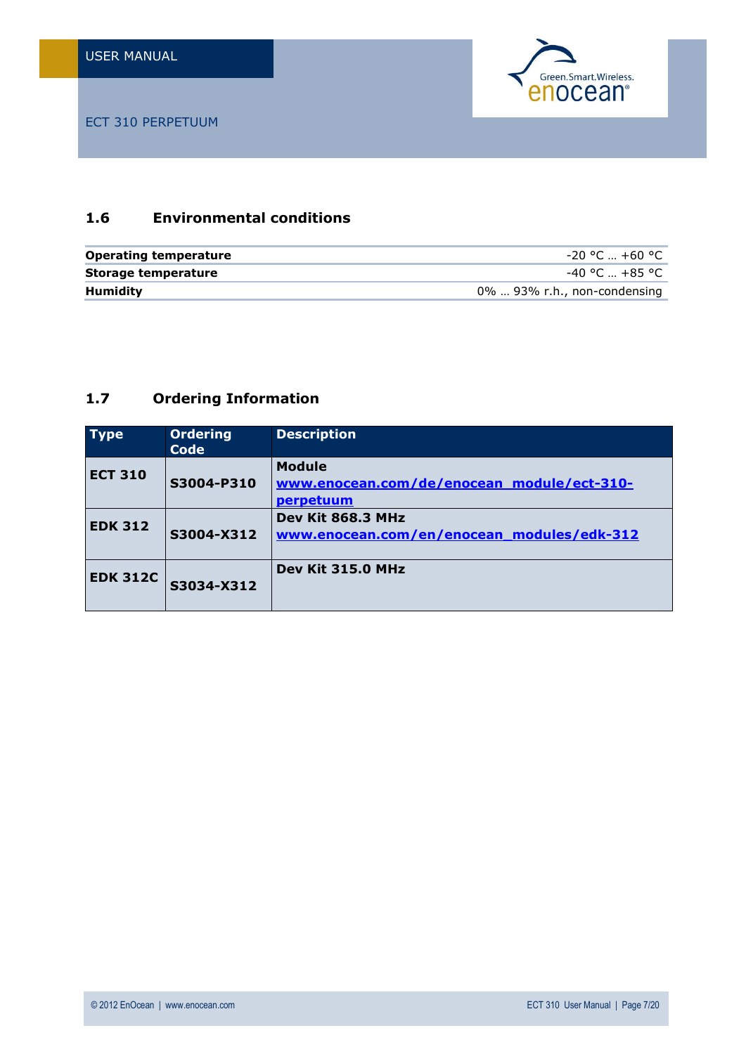

## <span id="page-6-0"></span>**1.6 Environmental conditions**

| <b>Operating temperature</b> | -20 °C  +60 °C                 |
|------------------------------|--------------------------------|
| Storage temperature          | -40 °C  +85 °C .               |
| <b>Humidity</b>              | $0\%$ 93% r.h., non-condensing |

## <span id="page-6-1"></span>**1.7 Ordering Information**

| <b>Type</b>     | <b>Ordering</b><br><b>Code</b> | <b>Description</b>                                                       |
|-----------------|--------------------------------|--------------------------------------------------------------------------|
| <b>ECT 310</b>  | S3004-P310                     | <b>Module</b><br>www.enocean.com/de/enocean_module/ect-310-<br>perpetuum |
| <b>EDK 312</b>  | S3004-X312                     | Dev Kit 868.3 MHz<br>www.enocean.com/en/enocean_modules/edk-312          |
| <b>EDK 312C</b> | S3034-X312                     | Dev Kit 315.0 MHz                                                        |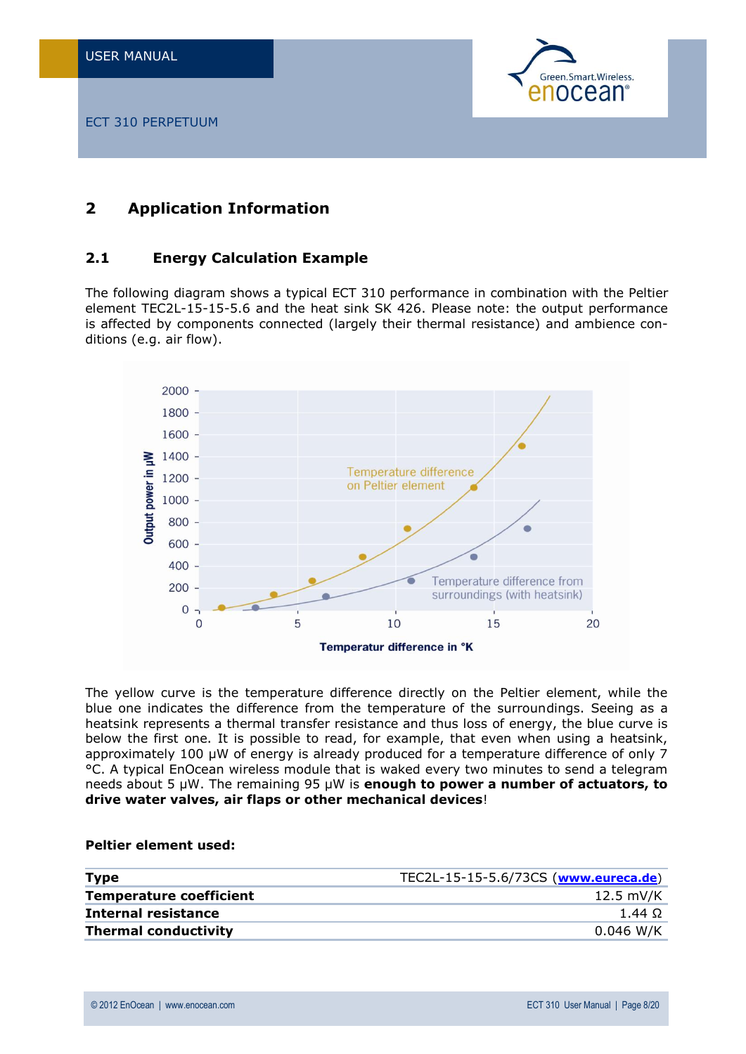

# <span id="page-7-0"></span>**2 Application Information**

## <span id="page-7-1"></span>**2.1 Energy Calculation Example**

The following diagram shows a typical ECT 310 performance in combination with the Peltier element TEC2L-15-15-5.6 and the heat sink SK 426. Please note: the output performance is affected by components connected (largely their thermal resistance) and ambience conditions (e.g. air flow).



The yellow curve is the temperature difference directly on the Peltier element, while the blue one indicates the difference from the temperature of the surroundings. Seeing as a heatsink represents a thermal transfer resistance and thus loss of energy, the blue curve is below the first one. It is possible to read, for example, that even when using a heatsink, approximately 100 µW of energy is already produced for a temperature difference of only 7 °C. A typical EnOcean wireless module that is waked every two minutes to send a telegram needs about 5 µW. The remaining 95 µW is **enough to power a number of actuators, to drive water valves, air flaps or other mechanical devices**!

#### **Peltier element used:**

| <b>Type</b>                    | TEC2L-15-15-5.6/73CS (www.eureca.de) |
|--------------------------------|--------------------------------------|
| <b>Temperature coefficient</b> | 12.5 mV/K                            |
| Internal resistance            | 1.44 $\Omega$                        |
| <b>Thermal conductivity</b>    | $0.046$ W/K                          |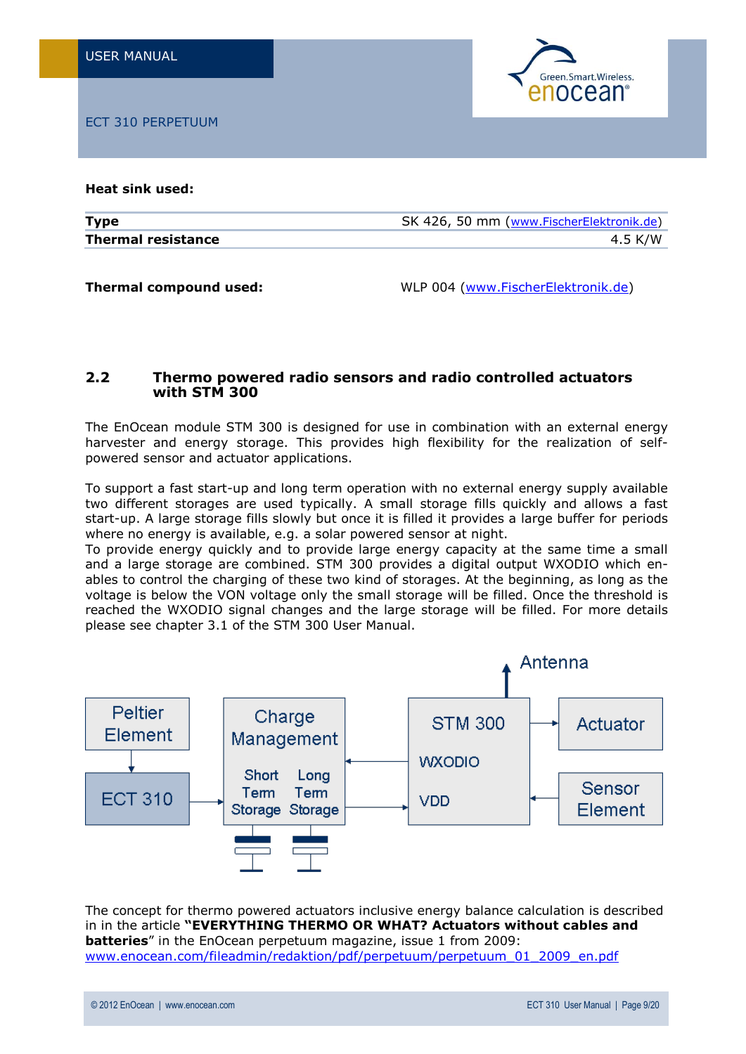

**Heat sink used:**

| <b>Type</b>               | SK 426, 50 mm (www.FischerElektronik.de) |
|---------------------------|------------------------------------------|
| <b>Thermal resistance</b> | 4.5 K/W                                  |

**Thermal compound used:** WLP 004 [\(www.FischerElektronik.de\)](http://www.fischerelektronik.de/)

## <span id="page-8-0"></span>**2.2 Thermo powered radio sensors and radio controlled actuators with STM 300**

The EnOcean module STM 300 is designed for use in combination with an external energy harvester and energy storage. This provides high flexibility for the realization of selfpowered sensor and actuator applications.

To support a fast start-up and long term operation with no external energy supply available two different storages are used typically. A small storage fills quickly and allows a fast start-up. A large storage fills slowly but once it is filled it provides a large buffer for periods where no energy is available, e.g. a solar powered sensor at night.

To provide energy quickly and to provide large energy capacity at the same time a small and a large storage are combined. STM 300 provides a digital output WXODIO which enables to control the charging of these two kind of storages. At the beginning, as long as the voltage is below the VON voltage only the small storage will be filled. Once the threshold is reached the WXODIO signal changes and the large storage will be filled. For more details please see chapter 3.1 of the STM 300 User Manual.



The concept for thermo powered actuators inclusive energy balance calculation is described in in the article **"EVERYTHING THERMO OR WHAT? Actuators without cables and batteries**" in the EnOcean perpetuum magazine, issue 1 from 2009: [www.enocean.com/fileadmin/redaktion/pdf/perpetuum/perpetuum\\_01\\_2009\\_en.pdf](http://www.enocean.com/fileadmin/redaktion/pdf/perpetuum/perpetuum_01_2009_en.pdf)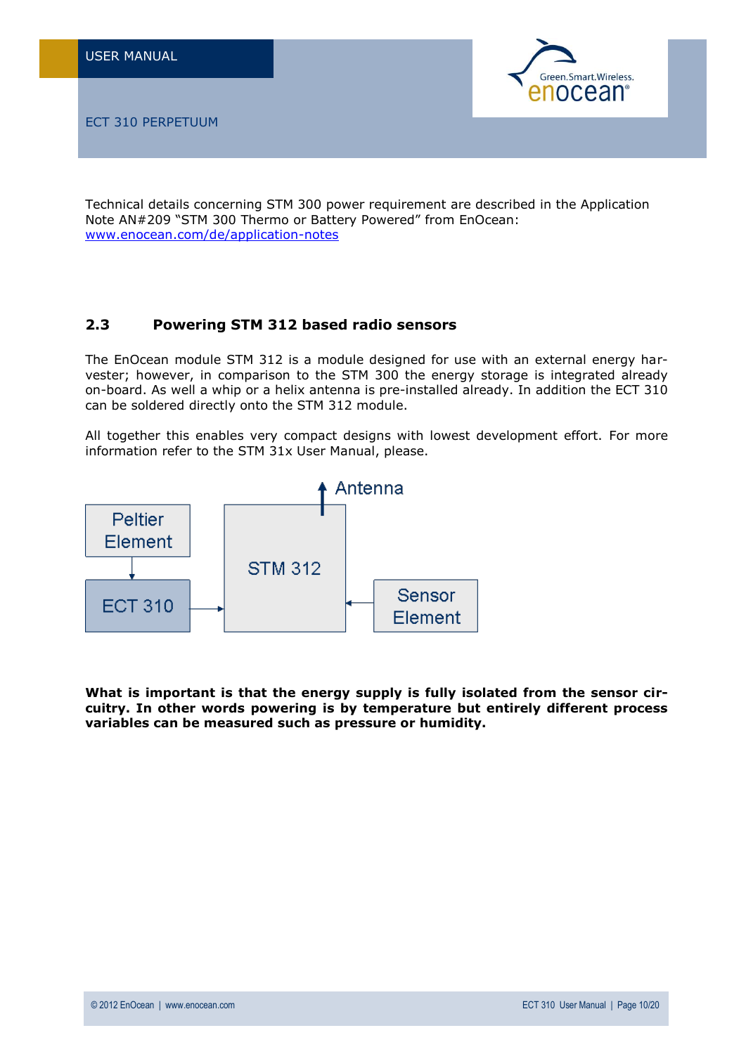

Technical details concerning STM 300 power requirement are described in the Application Note AN#209 "STM 300 Thermo or Battery Powered" from EnOcean: [www.enocean.com/de/application-notes](http://www.enocean.com/de/application-notes)

## <span id="page-9-0"></span>**2.3 Powering STM 312 based radio sensors**

The EnOcean module STM 312 is a module designed for use with an external energy harvester; however, in comparison to the STM 300 the energy storage is integrated already on-board. As well a whip or a helix antenna is pre-installed already. In addition the ECT 310 can be soldered directly onto the STM 312 module.

All together this enables very compact designs with lowest development effort. For more information refer to the STM 31x User Manual, please.



**What is important is that the energy supply is fully isolated from the sensor circuitry. In other words powering is by temperature but entirely different process variables can be measured such as pressure or humidity.**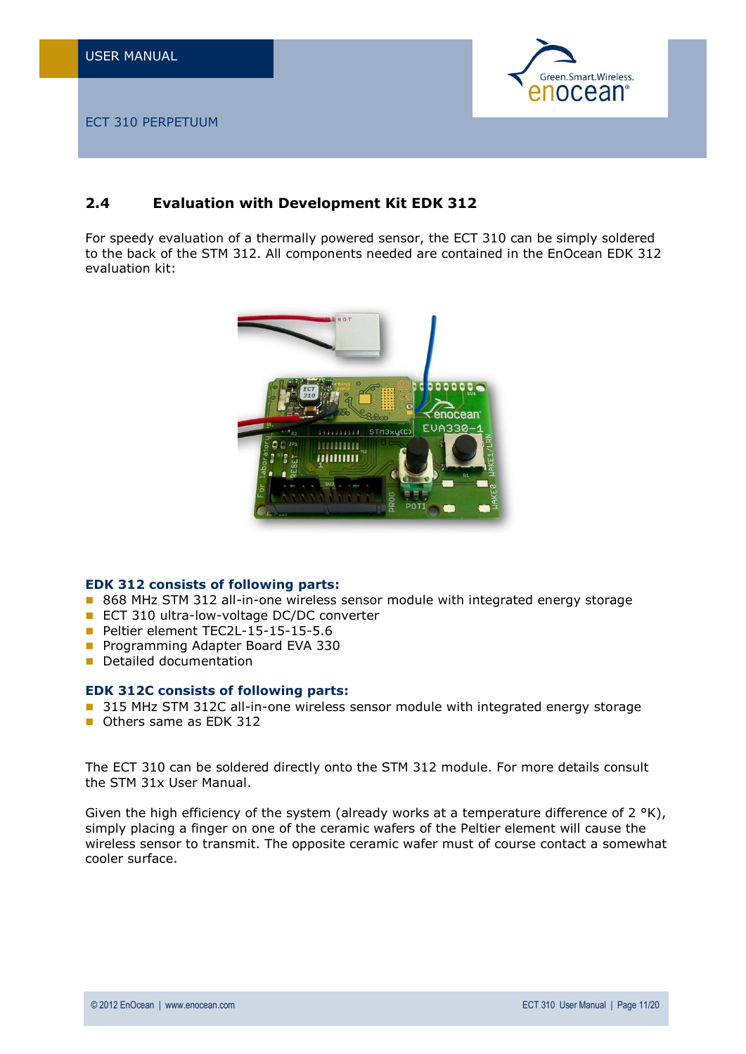

## <span id="page-10-0"></span>**2.4 Evaluation with Development Kit EDK 312**

For speedy evaluation of a thermally powered sensor, the ECT 310 can be simply soldered to the back of the STM 312. All components needed are contained in the EnOcean EDK 312 evaluation kit:



#### **EDK 312 consists of following parts:**

- 868 MHz STM 312 all-in-one wireless sensor module with integrated energy storage
- ECT 310 ultra-low-voltage DC/DC converter
- Peltier element TEC2L-15-15-15-5.6
- **Programming Adapter Board EVA 330**
- **Detailed documentation**

#### **EDK 312C consists of following parts:**

- 315 MHz STM 312C all-in-one wireless sensor module with integrated energy storage
- **Cothers same as FDK 312**

The ECT 310 can be soldered directly onto the STM 312 module. For more details consult the STM 31x User Manual.

Given the high efficiency of the system (already works at a temperature difference of  $2 \text{ }^{\circ}$ K), simply placing a finger on one of the ceramic wafers of the Peltier element will cause the wireless sensor to transmit. The opposite ceramic wafer must of course contact a somewhat cooler surface.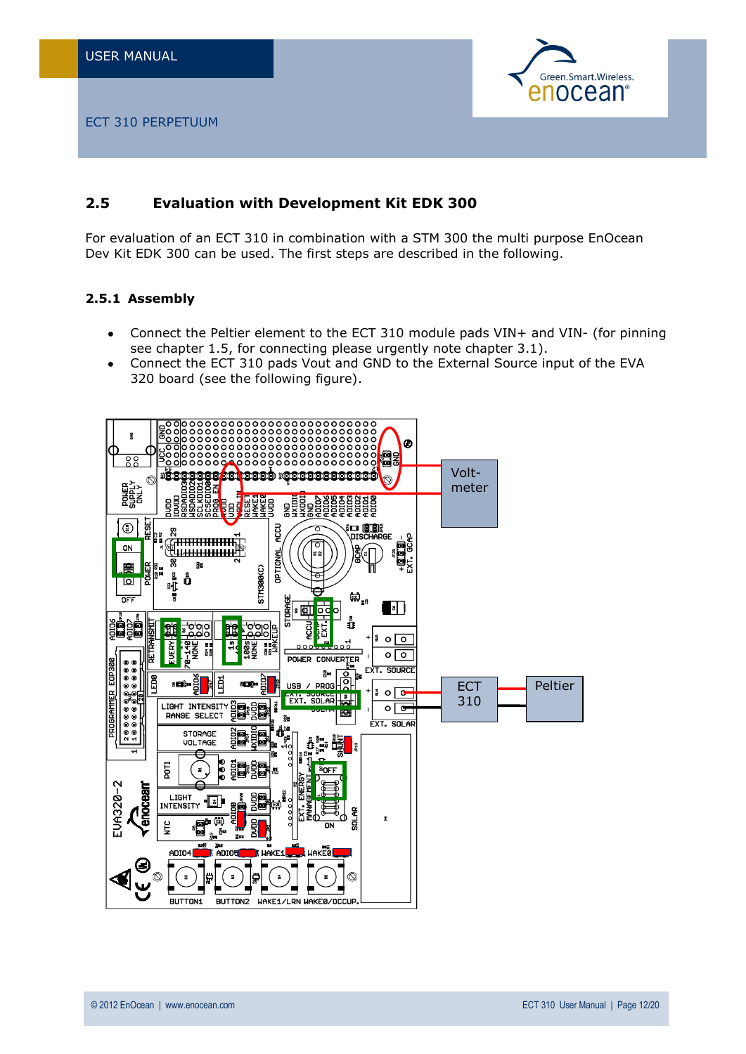

## <span id="page-11-0"></span>**2.5 Evaluation with Development Kit EDK 300**

For evaluation of an ECT 310 in combination with a STM 300 the multi purpose EnOcean Dev Kit EDK 300 can be used. The first steps are described in the following.

## <span id="page-11-1"></span>**2.5.1 Assembly**

- $\bullet$ Connect the Peltier element to the ECT 310 module pads VIN+ and VIN- (for pinning see chapter 1.5, for connecting please urgently note chapter 3.1).
- Connect the ECT 310 pads Vout and GND to the External Source input of the EVA  $\bullet$ 320 board (see the following figure).

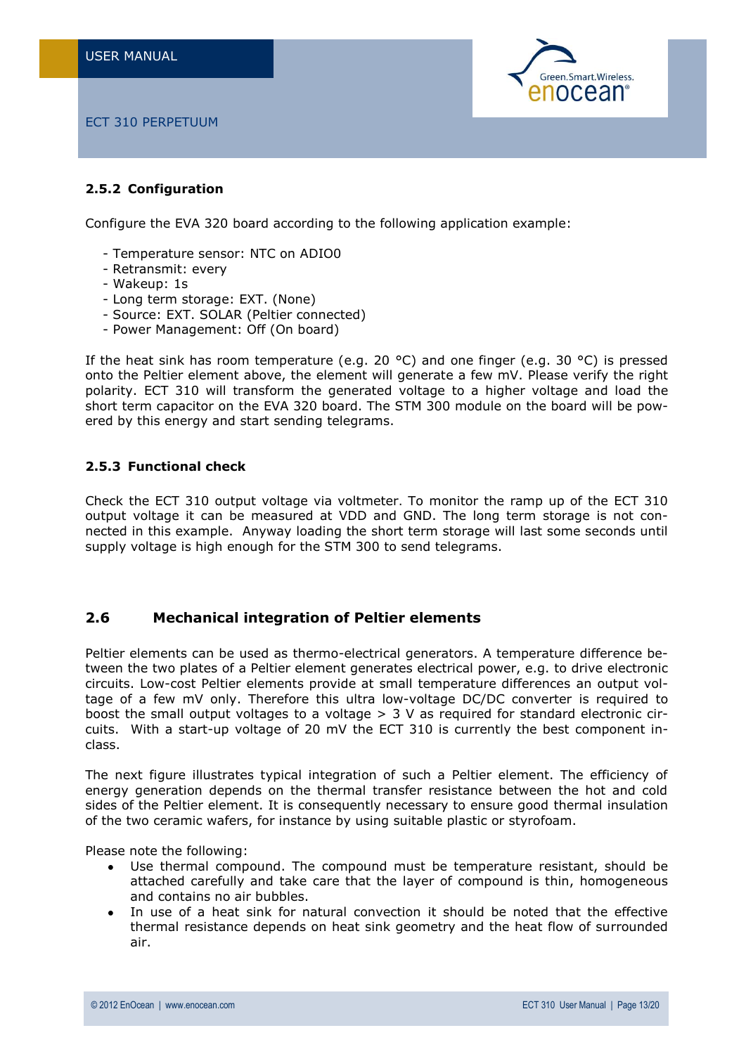

### <span id="page-12-0"></span>**2.5.2 Configuration**

Configure the EVA 320 board according to the following application example:

- Temperature sensor: NTC on ADIO0
- Retransmit: every
- Wakeup: 1s
- Long term storage: EXT. (None)
- Source: EXT. SOLAR (Peltier connected)
- Power Management: Off (On board)

If the heat sink has room temperature (e.g. 20 °C) and one finger (e.g. 30 °C) is pressed onto the Peltier element above, the element will generate a few mV. Please verify the right polarity. ECT 310 will transform the generated voltage to a higher voltage and load the short term capacitor on the EVA 320 board. The STM 300 module on the board will be powered by this energy and start sending telegrams.

#### <span id="page-12-1"></span>**2.5.3 Functional check**

Check the ECT 310 output voltage via voltmeter. To monitor the ramp up of the ECT 310 output voltage it can be measured at VDD and GND. The long term storage is not connected in this example. Anyway loading the short term storage will last some seconds until supply voltage is high enough for the STM 300 to send telegrams.

#### <span id="page-12-2"></span>**2.6 Mechanical integration of Peltier elements**

Peltier elements can be used as thermo-electrical generators. A temperature difference between the two plates of a Peltier element generates electrical power, e.g. to drive electronic circuits. Low-cost Peltier elements provide at small temperature differences an output voltage of a few mV only. Therefore this ultra low-voltage DC/DC converter is required to boost the small output voltages to a voltage  $> 3$  V as required for standard electronic circuits. With a start-up voltage of 20 mV the ECT 310 is currently the best component inclass.

The next figure illustrates typical integration of such a Peltier element. The efficiency of energy generation depends on the thermal transfer resistance between the hot and cold sides of the Peltier element. It is consequently necessary to ensure good thermal insulation of the two ceramic wafers, for instance by using suitable plastic or styrofoam.

Please note the following:

- Use thermal compound. The compound must be temperature resistant, should be  $\bullet$ attached carefully and take care that the layer of compound is thin, homogeneous and contains no air bubbles.
- In use of a heat sink for natural convection it should be noted that the effective thermal resistance depends on heat sink geometry and the heat flow of surrounded air.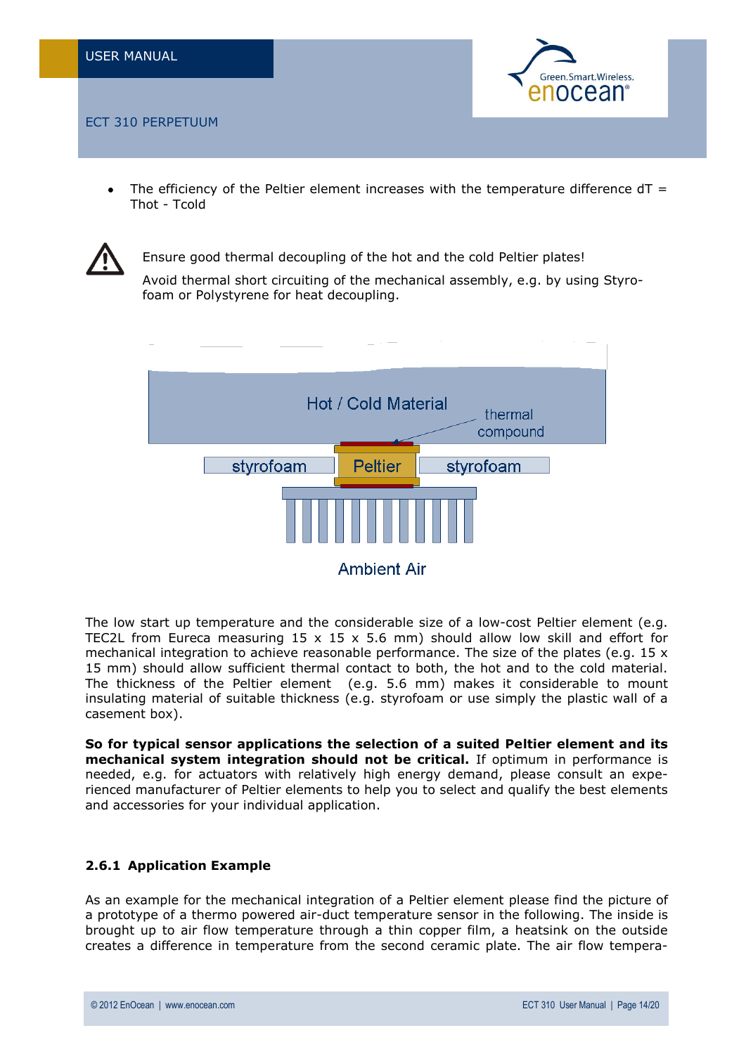

The efficiency of the Peltier element increases with the temperature difference  $dT =$ Thot - Tcold

![](_page_13_Picture_4.jpeg)

Ensure good thermal decoupling of the hot and the cold Peltier plates! Avoid thermal short circuiting of the mechanical assembly, e.g. by using Styrofoam or Polystyrene for heat decoupling.

![](_page_13_Figure_6.jpeg)

The low start up temperature and the considerable size of a low-cost Peltier element (e.g. TEC2L from Eureca measuring  $15 \times 15 \times 5.6$  mm) should allow low skill and effort for mechanical integration to achieve reasonable performance. The size of the plates (e.g. 15  $\times$ 15 mm) should allow sufficient thermal contact to both, the hot and to the cold material. The thickness of the Peltier element (e.g. 5.6 mm) makes it considerable to mount insulating material of suitable thickness (e.g. styrofoam or use simply the plastic wall of a casement box).

**So for typical sensor applications the selection of a suited Peltier element and its mechanical system integration should not be critical.** If optimum in performance is needed, e.g. for actuators with relatively high energy demand, please consult an experienced manufacturer of Peltier elements to help you to select and qualify the best elements and accessories for your individual application.

## <span id="page-13-0"></span>**2.6.1 Application Example**

As an example for the mechanical integration of a Peltier element please find the picture of a prototype of a thermo powered air-duct temperature sensor in the following. The inside is brought up to air flow temperature through a thin copper film, a heatsink on the outside creates a difference in temperature from the second ceramic plate. The air flow tempera-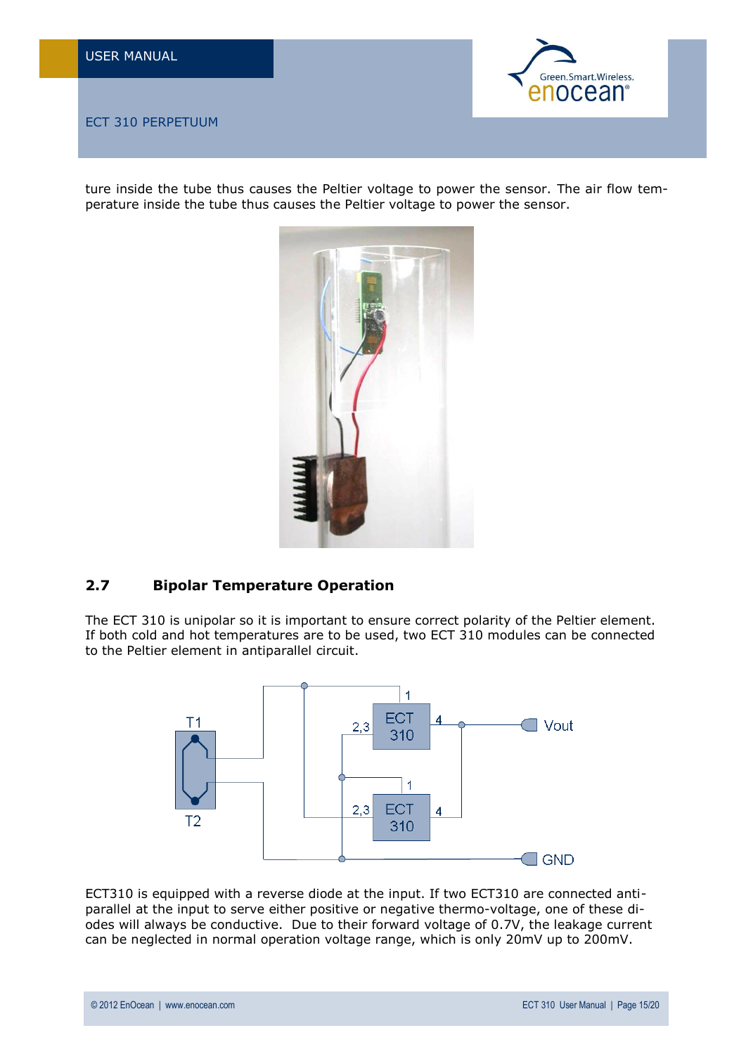![](_page_14_Picture_1.jpeg)

ture inside the tube thus causes the Peltier voltage to power the sensor. The air flow temperature inside the tube thus causes the Peltier voltage to power the sensor.

![](_page_14_Picture_4.jpeg)

## <span id="page-14-0"></span>**2.7 Bipolar Temperature Operation**

The ECT 310 is unipolar so it is important to ensure correct polarity of the Peltier element. If both cold and hot temperatures are to be used, two ECT 310 modules can be connected to the Peltier element in antiparallel circuit.

![](_page_14_Figure_7.jpeg)

ECT310 is equipped with a reverse diode at the input. If two ECT310 are connected antiparallel at the input to serve either positive or negative thermo-voltage, one of these diodes will always be conductive. Due to their forward voltage of 0.7V, the leakage current can be neglected in normal operation voltage range, which is only 20mV up to 200mV.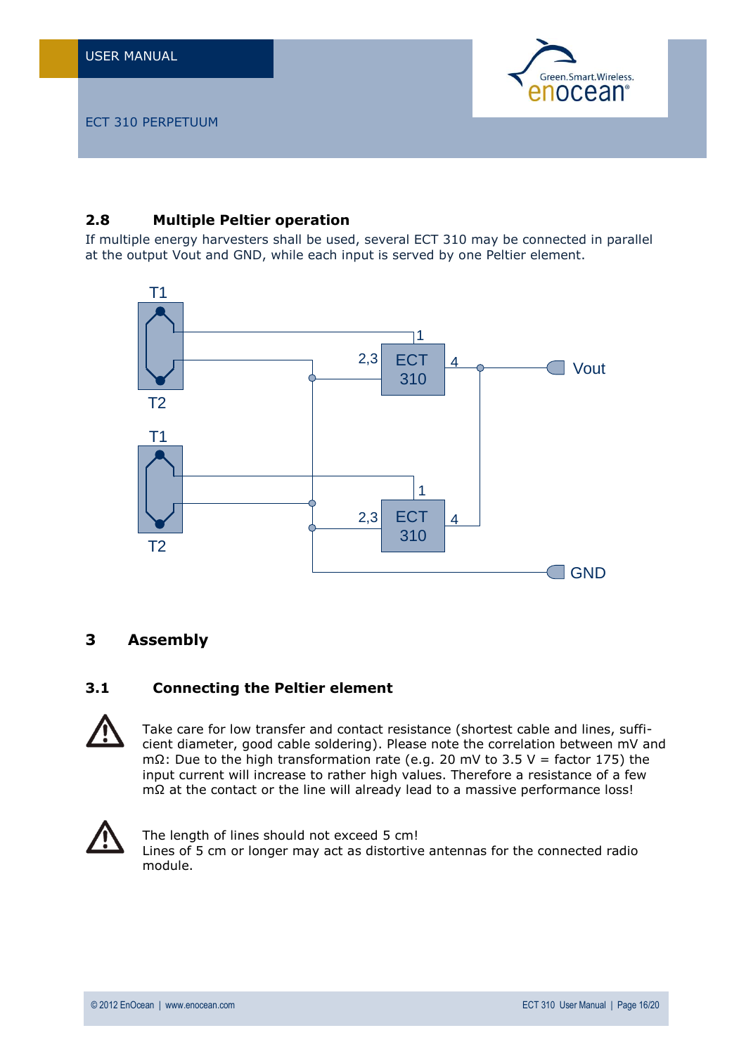![](_page_15_Picture_1.jpeg)

## <span id="page-15-0"></span>**2.8 Multiple Peltier operation**

If multiple energy harvesters shall be used, several ECT 310 may be connected in parallel at the output Vout and GND, while each input is served by one Peltier element.

![](_page_15_Figure_5.jpeg)

## <span id="page-15-1"></span>**3 Assembly**

## <span id="page-15-2"></span>**3.1 Connecting the Peltier element**

Take care for low transfer and contact resistance (shortest cable and lines, sufficient diameter, good cable soldering). Please note the correlation between mV and mΩ: Due to the high transformation rate (e.g. 20 mV to 3.5 V = factor 175) the input current will increase to rather high values. Therefore a resistance of a few mΩ at the contact or the line will already lead to a massive performance loss!

![](_page_15_Picture_9.jpeg)

The length of lines should not exceed 5 cm! Lines of 5 cm or longer may act as distortive antennas for the connected radio module.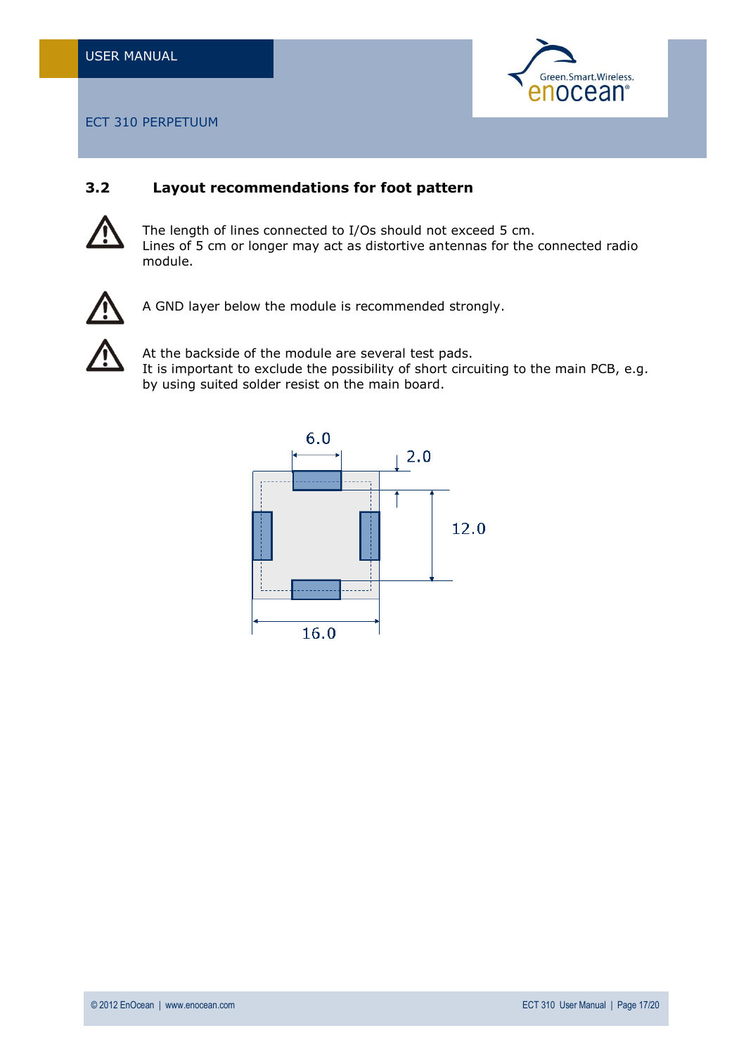![](_page_16_Picture_1.jpeg)

## <span id="page-16-0"></span>**3.2 Layout recommendations for foot pattern**

![](_page_16_Picture_4.jpeg)

The length of lines connected to I/Os should not exceed 5 cm. Lines of 5 cm or longer may act as distortive antennas for the connected radio module.

![](_page_16_Picture_6.jpeg)

A GND layer below the module is recommended strongly.

![](_page_16_Picture_8.jpeg)

At the backside of the module are several test pads. It is important to exclude the possibility of short circuiting to the main PCB, e.g. by using suited solder resist on the main board.

![](_page_16_Figure_10.jpeg)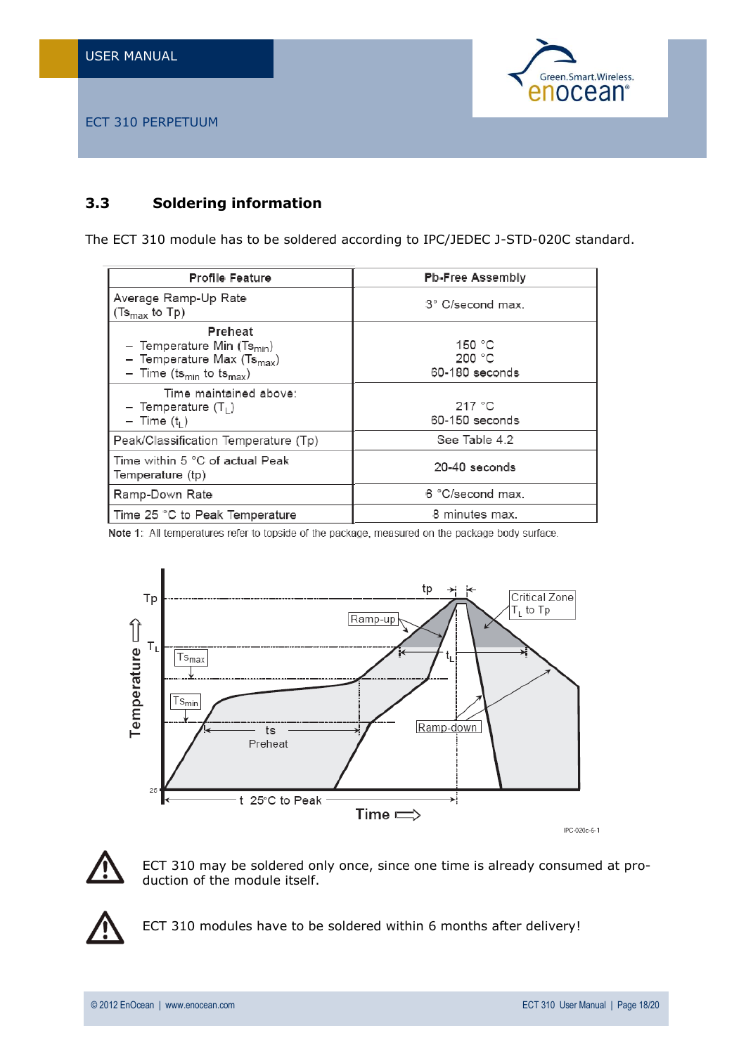![](_page_17_Picture_1.jpeg)

## <span id="page-17-0"></span>**3.3 Soldering information**

The ECT 310 module has to be soldered according to IPC/JEDEC J-STD-020C standard.

| <b>Profile Feature</b>                                                                                                          | <b>Pb-Free Assembly</b>                      |
|---------------------------------------------------------------------------------------------------------------------------------|----------------------------------------------|
| Average Ramp-Up Rate<br>(Ts <sub>max</sub> to Tp)                                                                               | 3° C/second max.                             |
| Preheat<br>- Temperature Min $(Ts_{min})$<br>- Temperature Max $(Ts_{max})$<br>- Time (ts <sub>min</sub> to ts <sub>max</sub> ) | 150 $^{\circ}$ C<br>200 °C<br>60-180 seconds |
| Time maintained above:<br>- Temperature $(T_1)$<br>$-$ Time $(t1)$                                                              | 217 °C<br>60-150 seconds                     |
| Peak/Classification Temperature (Tp)                                                                                            | See Table 4.2                                |
| Time within 5 °C of actual Peak<br>Temperature (tp)                                                                             | 20-40 seconds                                |
| Ramp-Down Rate                                                                                                                  | 6 °C/second max.                             |
| Time 25 °C to Peak Temperature                                                                                                  | 8 minutes max.                               |

Note 1: All temperatures refer to topside of the package, measured on the package body surface.

![](_page_17_Figure_7.jpeg)

![](_page_17_Picture_8.jpeg)

ECT 310 may be soldered only once, since one time is already consumed at production of the module itself.

![](_page_17_Picture_10.jpeg)

ECT 310 modules have to be soldered within 6 months after delivery!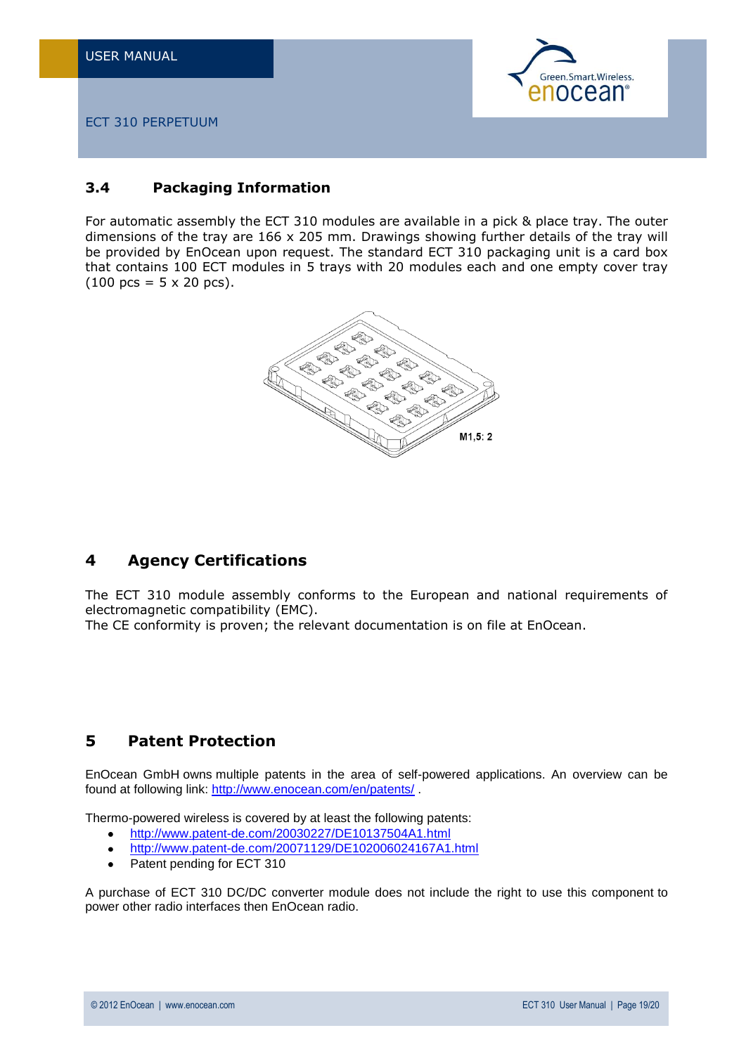![](_page_18_Picture_1.jpeg)

## <span id="page-18-0"></span>**3.4 Packaging Information**

For automatic assembly the ECT 310 modules are available in a pick & place tray. The outer dimensions of the tray are 166 x 205 mm. Drawings showing further details of the tray will be provided by EnOcean upon request. The standard ECT 310 packaging unit is a card box that contains 100 ECT modules in 5 trays with 20 modules each and one empty cover tray  $(100 \text{ pcs} = 5 \times 20 \text{ pcs}).$ 

![](_page_18_Picture_5.jpeg)

## <span id="page-18-1"></span>**4 Agency Certifications**

The ECT 310 module assembly conforms to the European and national requirements of electromagnetic compatibility (EMC).

The CE conformity is proven; the relevant documentation is on file at EnOcean.

## <span id="page-18-2"></span>**5 Patent Protection**

EnOcean GmbH owns multiple patents in the area of self-powered applications. An overview can be found at following link: <http://www.enocean.com/en/patents/> .

Thermo-powered wireless is covered by at least the following patents:

- <http://www.patent-de.com/20030227/DE10137504A1.html>  $\ddot{\phantom{a}}$
- <http://www.patent-de.com/20071129/DE102006024167A1.html>  $\bullet$
- Patent pending for ECT 310  $\bullet$

A purchase of ECT 310 DC/DC converter module does not include the right to use this component to power other radio interfaces then EnOcean radio.